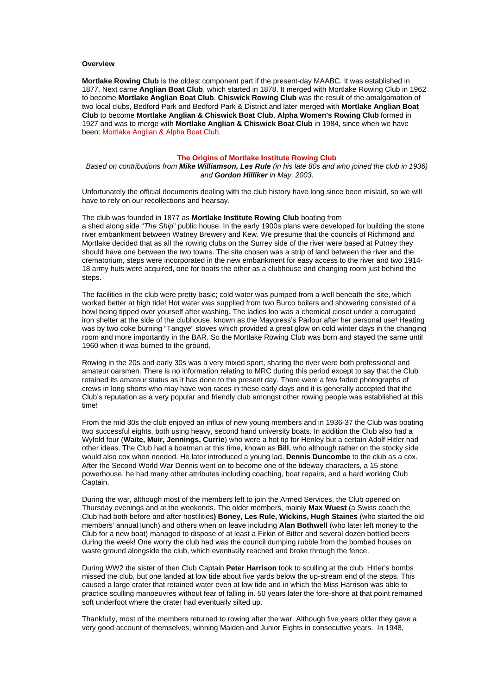#### **Overview**

**Mortlake Rowing Club** is the oldest component part if the present-day MAABC. It was established in 1877. Next came **Anglian Boat Club**, which started in 1878. It merged with Mortlake Rowing Club in 1962 to become **Mortlake Anglian Boat Club**. **Chiswick Rowing Club** was the result of the amalgamation of two local clubs, Bedford Park and Bedford Park & District and later merged with **Mortlake Anglian Boat Club** to become **Mortlake Anglian & Chiswick Boat Club**. **Alpha Women's Rowing Club** formed in 1927 and was to merge with **Mortlake Anglian & Chiswick Boat Club** in 1984, since when we have been: Mortlake Anglian & Alpha Boat Club.

#### **The Origins of Mortlake Institute Rowing Club**

# *Based on contributions from Mike Williamson, Les Rule (in his late 80s and who joined the club in 1936) and Gordon Hilliker in May, 2003.*

Unfortunately the official documents dealing with the club history have long since been mislaid, so we will have to rely on our recollections and hearsay.

The club was founded in 1877 as **Mortlake Institute Rowing Club** boating from a shed along side "*The Ship*" public house. In the early 1900s plans were developed for building the stone river embankment between Watney Brewery and Kew. We presume that the councils of Richmond and Mortlake decided that as all the rowing clubs on the Surrey side of the river were based at Putney they should have one between the two towns. The site chosen was a strip of land between the river and the crematorium, steps were incorporated in the new embankment for easy access to the river and two 1914- 18 army huts were acquired, one for boats the other as a clubhouse and changing room just behind the steps.

The facilities in the club were pretty basic; cold water was pumped from a well beneath the site, which worked better at high tide! Hot water was supplied from two Burco boilers and showering consisted of a bowl being tipped over yourself after washing. The ladies loo was a chemical closet under a corrugated iron shelter at the side of the clubhouse, known as the Mayoress's Parlour after her personal use! Heating was by two coke burning "Tangye" stoves which provided a great glow on cold winter days in the changing room and more importantly in the BAR. So the Mortlake Rowing Club was born and stayed the same until 1960 when it was burned to the ground.

Rowing in the 20s and early 30s was a very mixed sport, sharing the river were both professional and amateur oarsmen. There is no information relating to MRC during this period except to say that the Club retained its amateur status as it has done to the present day. There were a few faded photographs of crews in long shorts who may have won races in these early days and it is generally accepted that the Club's reputation as a very popular and friendly club amongst other rowing people was established at this time!

From the mid 30s the club enjoyed an influx of new young members and in 1936-37 the Club was boating two successful eights, both using heavy, second hand university boats. In addition the Club also had a Wyfold four (**Waite, Muir, Jennings, Currie**) who were a hot tip for Henley but a certain Adolf Hitler had other ideas. The Club had a boatman at this time, known as **Bill**, who although rather on the stocky side would also cox when needed. He later introduced a young lad, **Dennis Duncombe** to the club as a cox. After the Second World War Dennis went on to become one of the tideway characters, a 15 stone powerhouse, he had many other attributes including coaching, boat repairs, and a hard working Club Captain.

During the war, although most of the members left to join the Armed Services, the Club opened on Thursday evenings and at the weekends. The older members, mainly **Max Wuest** (a Swiss coach the Club had both before and after hostilities**) Boney, Les Rule, Wickins, Hugh Staines** (who started the old members' annual lunch) and others when on leave including **Alan Bothwell** (who later left money to the Club for a new boat) managed to dispose of at least a Firkin of Bitter and several dozen bottled beers during the week! One worry the club had was the council dumping rubble from the bombed houses on waste ground alongside the club, which eventually reached and broke through the fence.

During WW2 the sister of then Club Captain **Peter Harrison** took to sculling at the club. Hitler's bombs missed the club, but one landed at low tide about five yards below the up-stream end of the steps. This caused a large crater that retained water even at low tide and in which the Miss Harrison was able to practice sculling manoeuvres without fear of falling in. 50 years later the fore-shore at that point remained soft underfoot where the crater had eventually silted up.

Thankfully, most of the members returned to rowing after the war. Although five years older they gave a very good account of themselves, winning Maiden and Junior Eights in consecutive years. In 1948,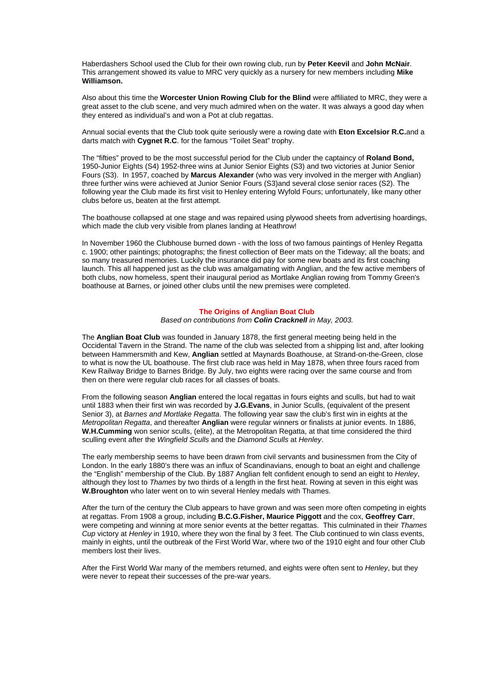Haberdashers School used the Club for their own rowing club, run by **Peter Keevil** and **John McNair**. This arrangement showed its value to MRC very quickly as a nursery for new members including **Mike Williamson.**

Also about this time the **Worcester Union Rowing Club for the Blind** were affiliated to MRC, they were a great asset to the club scene, and very much admired when on the water. It was always a good day when they entered as individual's and won a Pot at club regattas.

Annual social events that the Club took quite seriously were a rowing date with **Eton Excelsior R.C.**and a darts match with **Cygnet R.C**. for the famous "Toilet Seat" trophy.

The "fifties" proved to be the most successful period for the Club under the captaincy of **Roland Bond,** 1950-Junior Eights (S4) 1952-three wins at Junior Senior Eights (S3) and two victories at Junior Senior Fours (S3). In 1957, coached by **Marcus Alexander** (who was very involved in the merger with Anglian) three further wins were achieved at Junior Senior Fours (S3)and several close senior races (S2). The following year the Club made its first visit to Henley entering Wyfold Fours; unfortunately, like many other clubs before us, beaten at the first attempt.

The boathouse collapsed at one stage and was repaired using plywood sheets from advertising hoardings, which made the club very visible from planes landing at Heathrow!

In November 1960 the Clubhouse burned down - with the loss of two famous paintings of Henley Regatta c. 1900; other paintings; photographs; the finest collection of Beer mats on the Tideway; all the boats; and so many treasured memories. Luckily the insurance did pay for some new boats and its first coaching launch. This all happened just as the club was amalgamating with Anglian, and the few active members of both clubs, now homeless, spent their inaugural period as Mortlake Anglian rowing from Tommy Green's boathouse at Barnes, or joined other clubs until the new premises were completed.

# **The Origins of Anglian Boat Club**

*Based on contributions from Colin Cracknell in May, 2003.*

The **Anglian Boat Club** was founded in January 1878, the first general meeting being held in the Occidental Tavern in the Strand. The name of the club was selected from a shipping list and, after looking between Hammersmith and Kew, **Anglian** settled at Maynards Boathouse, at Strand-on-the-Green, close to what is now the UL boathouse. The first club race was held in May 1878, when three fours raced from Kew Railway Bridge to Barnes Bridge. By July, two eights were racing over the same course and from then on there were regular club races for all classes of boats.

From the following season **Anglian** entered the local regattas in fours eights and sculls, but had to wait until 1883 when their first win was recorded by **J.G.Evans**, in Junior Sculls, (equivalent of the present Senior 3), at *Barnes and Mortlake Regatta*. The following year saw the club's first win in eights at the *Metropolitan Regatta*, and thereafter **Anglian** were regular winners or finalists at junior events. In 1886, **W.H.Cumming** won senior sculls, (elite), at the Metropolitan Regatta, at that time considered the third sculling event after the *Wingfield Sculls* and the *Diamond Sculls* at *Henley*.

The early membership seems to have been drawn from civil servants and businessmen from the City of London. In the early 1880's there was an influx of Scandinavians, enough to boat an eight and challenge the "English" membership of the Club. By 1887 Anglian felt confident enough to send an eight to *Henley*, although they lost to *Thames* by two thirds of a length in the first heat. Rowing at seven in this eight was **W.Broughton** who later went on to win several Henley medals with Thames.

After the turn of the century the Club appears to have grown and was seen more often competing in eights at regattas. From 1908 a group, including **B.C.G.Fisher, Maurice Piggott** and the cox, **Geoffrey Carr**, were competing and winning at more senior events at the better regattas. This culminated in their *Thames Cup* victory at *Henley* in 1910, where they won the final by 3 feet. The Club continued to win class events, mainly in eights, until the outbreak of the First World War, where two of the 1910 eight and four other Club members lost their lives.

After the First World War many of the members returned, and eights were often sent to *Henley*, but they were never to repeat their successes of the pre-war years.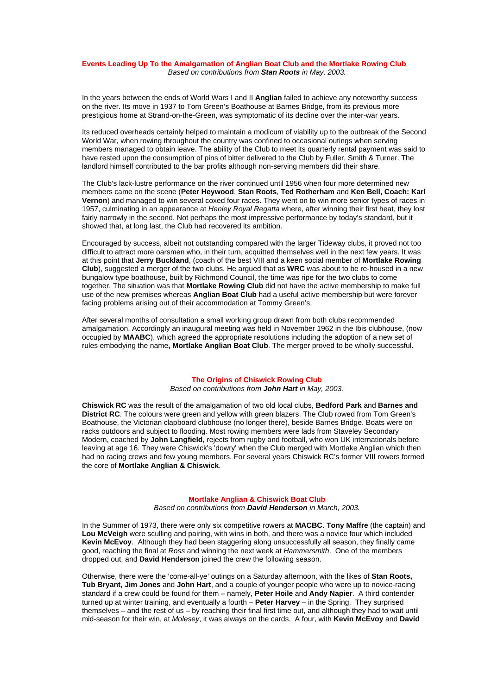#### **Events Leading Up To the Amalgamation of Anglian Boat Club and the Mortlake Rowing Club** *Based on contributions from Stan Roots in May, 2003.*

In the years between the ends of World Wars I and II **Anglian** failed to achieve any noteworthy success on the river. Its move in 1937 to Tom Green's Boathouse at Barnes Bridge, from its previous more prestigious home at Strand-on-the-Green, was symptomatic of its decline over the inter-war years.

Its reduced overheads certainly helped to maintain a modicum of viability up to the outbreak of the Second World War, when rowing throughout the country was confined to occasional outings when serving members managed to obtain leave. The ability of the Club to meet its quarterly rental payment was said to have rested upon the consumption of pins of bitter delivered to the Club by Fuller, Smith & Turner. The landlord himself contributed to the bar profits although non-serving members did their share.

The Club's lack-lustre performance on the river continued until 1956 when four more determined new members came on the scene (**Peter Heywood**, **Stan Roots**, **Ted Rotherham** and **Ken Bell, Coach: Karl Vernon**) and managed to win several coxed four races. They went on to win more senior types of races in 1957, culminating in an appearance at *Henley Royal Regatta* where, after winning their first heat, they lost fairly narrowly in the second. Not perhaps the most impressive performance by today's standard, but it showed that, at long last, the Club had recovered its ambition.

Encouraged by success, albeit not outstanding compared with the larger Tideway clubs, it proved not too difficult to attract more oarsmen who, in their turn, acquitted themselves well in the next few years. It was at this point that **Jerry Buckland**, (coach of the best VIII and a keen social member of **Mortlake Rowing Club**), suggested a merger of the two clubs. He argued that as **WRC** was about to be re-housed in a new bungalow type boathouse, built by Richmond Council, the time was ripe for the two clubs to come together. The situation was that **Mortlake Rowing Club** did not have the active membership to make full use of the new premises whereas **Anglian Boat Club** had a useful active membership but were forever facing problems arising out of their accommodation at Tommy Green's.

After several months of consultation a small working group drawn from both clubs recommended amalgamation. Accordingly an inaugural meeting was held in November 1962 in the Ibis clubhouse, (now occupied by **MAABC**), which agreed the appropriate resolutions including the adoption of a new set of rules embodying the name**, Mortlake Anglian Boat Club**. The merger proved to be wholly successful.

# **The Origins of Chiswick Rowing Club**

*Based on contributions from John Hart in May, 2003.*

**Chiswick RC** was the result of the amalgamation of two old local clubs, **Bedford Park** and **Barnes and District RC**. The colours were green and yellow with green blazers. The Club rowed from Tom Green's Boathouse, the Victorian clapboard clubhouse (no longer there), beside Barnes Bridge. Boats were on racks outdoors and subject to flooding. Most rowing members were lads from Staveley Secondary Modern, coached by **John Langfield,** rejects from rugby and football, who won UK internationals before leaving at age 16. They were Chiswick's 'dowry' when the Club merged with Mortlake Anglian which then had no racing crews and few young members. For several years Chiswick RC's former VIII rowers formed the core of **Mortlake Anglian & Chiswick**.

#### **Mortlake Anglian & Chiswick Boat Club**

*Based on contributions from David Henderson in March, 2003.*

In the Summer of 1973, there were only six competitive rowers at **MACBC**. **Tony Maffre** (the captain) and **Lou McVeigh** were sculling and pairing, with wins in both, and there was a novice four which included **Kevin McEvoy**. Although they had been staggering along unsuccessfully all season, they finally came good, reaching the final at *Ross* and winning the next week at *Hammersmith*. One of the members dropped out, and **David Henderson** joined the crew the following season.

Otherwise, there were the 'come-all-ye' outings on a Saturday afternoon, with the likes of **Stan Roots, Tub Bryant, Jim Jones** and **John Hart**, and a couple of younger people who were up to novice-racing standard if a crew could be found for them – namely, **Peter Hoile** and **Andy Napier**. A third contender turned up at winter training, and eventually a fourth – **Peter Harvey** – in the Spring. They surprised themselves – and the rest of us – by reaching their final first time out, and although they had to wait until mid-season for their win, at *Molesey*, it was always on the cards. A four, with **Kevin McEvoy** and **David**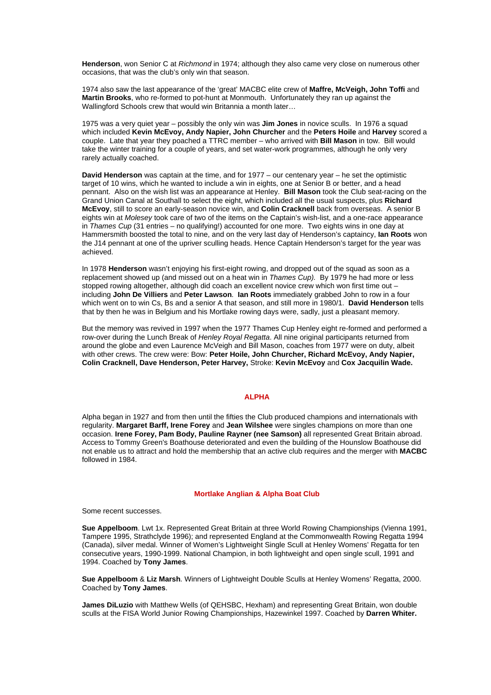**Henderson**, won Senior C at *Richmond* in 1974; although they also came very close on numerous other occasions, that was the club's only win that season.

1974 also saw the last appearance of the 'great' MACBC elite crew of **Maffre, McVeigh, John Toffi** and **Martin Brooks**, who re-formed to pot-hunt at Monmouth. Unfortunately they ran up against the Wallingford Schools crew that would win Britannia a month later…

1975 was a very quiet year – possibly the only win was **Jim Jones** in novice sculls. In 1976 a squad which included **Kevin McEvoy, Andy Napier, John Churcher** and the **Peters Hoile** and **Harvey** scored a couple. Late that year they poached a TTRC member – who arrived with **Bill Mason** in tow. Bill would take the winter training for a couple of years, and set water-work programmes, although he only very rarely actually coached.

**David Henderson** was captain at the time, and for 1977 – our centenary year – he set the optimistic target of 10 wins, which he wanted to include a win in eights, one at Senior B or better, and a head pennant. Also on the wish list was an appearance at Henley. **Bill Mason** took the Club seat-racing on the Grand Union Canal at Southall to select the eight, which included all the usual suspects, plus **Richard McEvoy**, still to score an early-season novice win, and **Colin Cracknell** back from overseas. A senior B eights win at *Molesey* took care of two of the items on the Captain's wish-list, and a one-race appearance in *Thames Cup* (31 entries – no qualifying!) accounted for one more. Two eights wins in one day at Hammersmith boosted the total to nine, and on the very last day of Henderson's captaincy, **Ian Roots** won the J14 pennant at one of the upriver sculling heads. Hence Captain Henderson's target for the year was achieved.

In 1978 **Henderson** wasn't enjoying his first-eight rowing, and dropped out of the squad as soon as a replacement showed up (and missed out on a heat win in *Thames Cup).* By 1979 he had more or less stopped rowing altogether, although did coach an excellent novice crew which won first time out – including **John De Villiers** and **Peter Lawson**. **Ian Roots** immediately grabbed John to row in a four which went on to win Cs, Bs and a senior A that season, and still more in 1980/1. **David Henderson** tells that by then he was in Belgium and his Mortlake rowing days were, sadly, just a pleasant memory.

But the memory was revived in 1997 when the 1977 Thames Cup Henley eight re-formed and performed a row-over during the Lunch Break of *Henley Royal Regatta*. All nine original participants returned from around the globe and even Laurence McVeigh and Bill Mason, coaches from 1977 were on duty, albeit with other crews. The crew were: Bow: **Peter Hoile, John Churcher, Richard McEvoy, Andy Napier, Colin Cracknell, Dave Henderson, Peter Harvey,** Stroke: **Kevin McEvoy** and **Cox Jacquilin Wade.**

# **ALPHA**

Alpha began in 1927 and from then until the fifties the Club produced champions and internationals with regularity. **Margaret Barff, Irene Forey** and **Jean Wilshee** were singles champions on more than one occasion. **Irene Forey, Pam Body, Pauline Rayner (nee Samson)** all represented Great Britain abroad. Access to Tommy Green's Boathouse deteriorated and even the building of the Hounslow Boathouse did not enable us to attract and hold the membership that an active club requires and the merger with **MACBC** followed in 1984.

# **Mortlake Anglian & Alpha Boat Club**

Some recent successes.

**Sue Appelboom**. Lwt 1x. Represented Great Britain at three World Rowing Championships (Vienna 1991, Tampere 1995, Strathclyde 1996); and represented England at the Commonwealth Rowing Regatta 1994 (Canada), silver medal. Winner of Women's Lightweight Single Scull at Henley Womens' Regatta for ten consecutive years, 1990-1999. National Champion, in both lightweight and open single scull, 1991 and 1994. Coached by **Tony James**.

**Sue Appelboom** & **Liz Marsh**. Winners of Lightweight Double Sculls at Henley Womens' Regatta, 2000. Coached by **Tony James**.

**James DiLuzio** with Matthew Wells (of QEHSBC, Hexham) and representing Great Britain, won double sculls at the FISA World Junior Rowing Championships, Hazewinkel 1997. Coached by **Darren Whiter.**